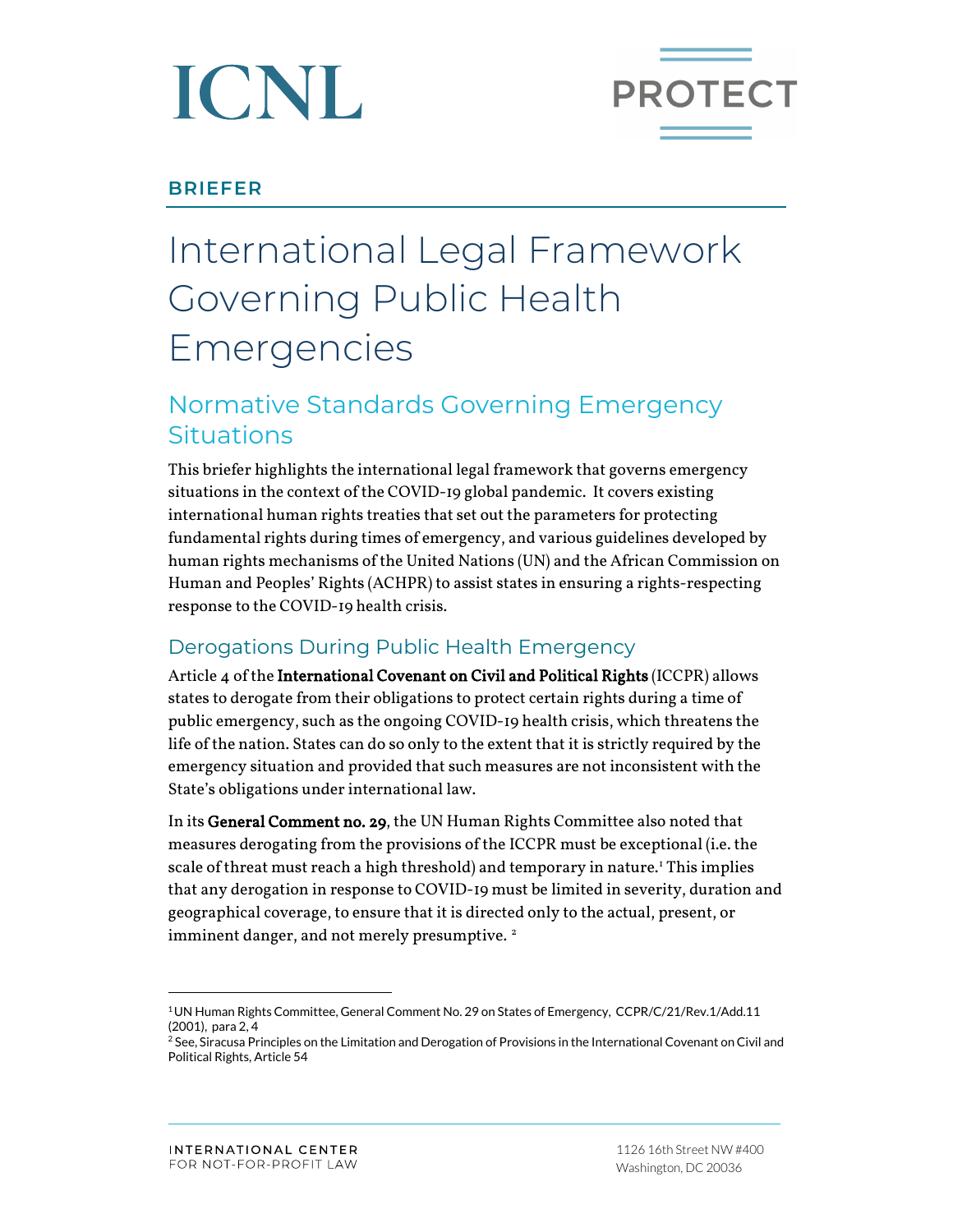

## **BRIEFER**

# International Legal Framework Governing Public Health Emergencies

# Normative Standards Governing Emergency Situations

This briefer highlights the international legal framework that governs emergency situations in the context of the COVID-19 global pandemic. It covers existing international human rights treaties that set out the parameters for protecting fundamental rights during times of emergency, and various guidelines developed by human rights mechanisms of the United Nations (UN) and the African Commission on Human and Peoples' Rights (ACHPR) to assist states in ensuring a rights-respecting response to the COVID-19 health crisis.

## Derogations During Public Health Emergency

Article 4 of the International Covenant on Civil and Political Rights (ICCPR) allows states to derogate from their obligations to protect certain rights during a time of public emergency, such as the ongoing COVID-19 health crisis, which threatens the life of the nation. States can do so only to the extent that it is strictly required by the emergency situation and provided that such measures are not inconsistent with the State's obligations under international law.

In its General Comment no. 29, the UN Human Rights Committee also noted that measures derogating from the provisions of the ICCPR must be exceptional (i.e. the scale of threat must reach a high threshold) and temporary in nature.[1](#page-0-0) This implies that any derogation in response to COVID-19 must be limited in severity, duration and geographical coverage, to ensure that it is directed only to the actual, present, or imminent danger, and not merely presumptive.<sup>[2](#page-0-1)</sup>

<span id="page-0-0"></span><sup>1</sup>UN Human Rights Committee, General Comment No. 29 on States of Emergency, CCPR/C/21/Rev.1/Add.11 (2001), para 2, 4

<span id="page-0-1"></span><sup>&</sup>lt;sup>2</sup> See, Siracusa Principles on the Limitation and Derogation of Provisions in the International Covenant on Civil and Political Rights, Article 54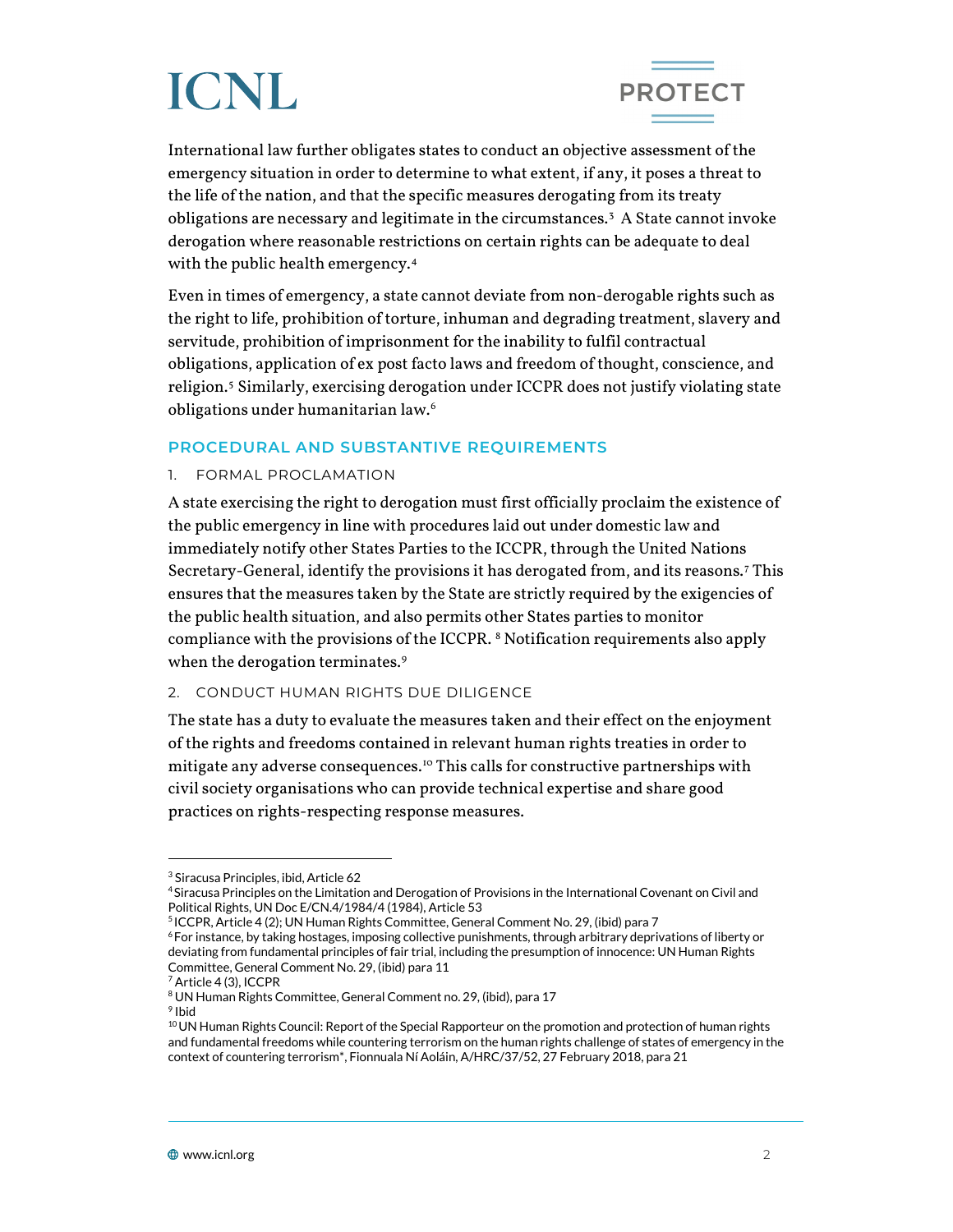

International law further obligates states to conduct an objective assessment of the emergency situation in order to determine to what extent, if any, it poses a threat to the life of the nation, and that the specific measures derogating from its treaty obligations are necessary and legitimate in the circumstances.[3](#page-1-0) A State cannot invoke derogation where reasonable restrictions on certain rights can be adequate to deal with the public health emergency.[4](#page-1-1)

Even in times of emergency, a state cannot deviate from non-derogable rights such as the right to life, prohibition of torture, inhuman and degrading treatment, slavery and servitude, prohibition of imprisonment for the inability to fulfil contractual obligations, application of ex post facto laws and freedom of thought, conscience, and religion.[5](#page-1-2) Similarly, exercising derogation under ICCPR does not justify violating state obligations under humanitarian law.[6](#page-1-3)

#### **PROCEDURAL AND SUBSTANTIVE REQUIREMENTS**

#### 1. FORMAL PROCLAMATION

A state exercising the right to derogation must first officially proclaim the existence of the public emergency in line with procedures laid out under domestic law and immediately notify other States Parties to the ICCPR, through the United Nations Secretary-General, identify the provisions it has derogated from, and its reasons.[7](#page-1-4) This ensures that the measures taken by the State are strictly required by the exigencies of the public health situation, and also permits other States parties to monitor compliance with the provisions of the ICCPR. [8](#page-1-5) Notification requirements also apply when the derogation terminates.<sup>[9](#page-1-6)</sup>

#### 2. CONDUCT HUMAN RIGHTS DUE DILIGENCE

The state has a duty to evaluate the measures taken and their effect on the enjoyment of the rights and freedoms contained in relevant human rights treaties in order to mitigate any adverse consequences.<sup>[10](#page-1-7)</sup> This calls for constructive partnerships with civil society organisations who can provide technical expertise and share good practices on rights-respecting response measures.

<sup>3</sup> Siracusa Principles, ibid, Article 62

<span id="page-1-1"></span><span id="page-1-0"></span><sup>4</sup> Siracusa Principles on the Limitation and Derogation of Provisions in the International Covenant on Civil and Political Rights, UN Doc E/CN.4/1984/4 (1984), Article 53

<span id="page-1-3"></span><span id="page-1-2"></span><sup>5</sup> ICCPR, Article 4 (2); UN Human Rights Committee, General Comment No. 29, (ibid) para 7

<sup>6</sup> For instance, by taking hostages, imposing collective punishments, through arbitrary deprivations of liberty or deviating from fundamental principles of fair trial, including the presumption of innocence: UN Human Rights Committee, General Comment No. 29, (ibid) para 11

<sup>7</sup> Article 4 (3), ICCPR

<span id="page-1-5"></span><span id="page-1-4"></span><sup>8</sup> UN Human Rights Committee, General Comment no. 29, (ibid), para 17

<span id="page-1-6"></span><sup>9</sup> Ibid

<span id="page-1-7"></span><sup>&</sup>lt;sup>10</sup> UN Human Rights Council: Report of the Special Rapporteur on the promotion and protection of human rights and fundamental freedoms while countering terrorism on the human rights challenge of states of emergency in the context of countering terrorism\*, Fionnuala Ní Aoláin, A/HRC/37/52, 27 February 2018, para 21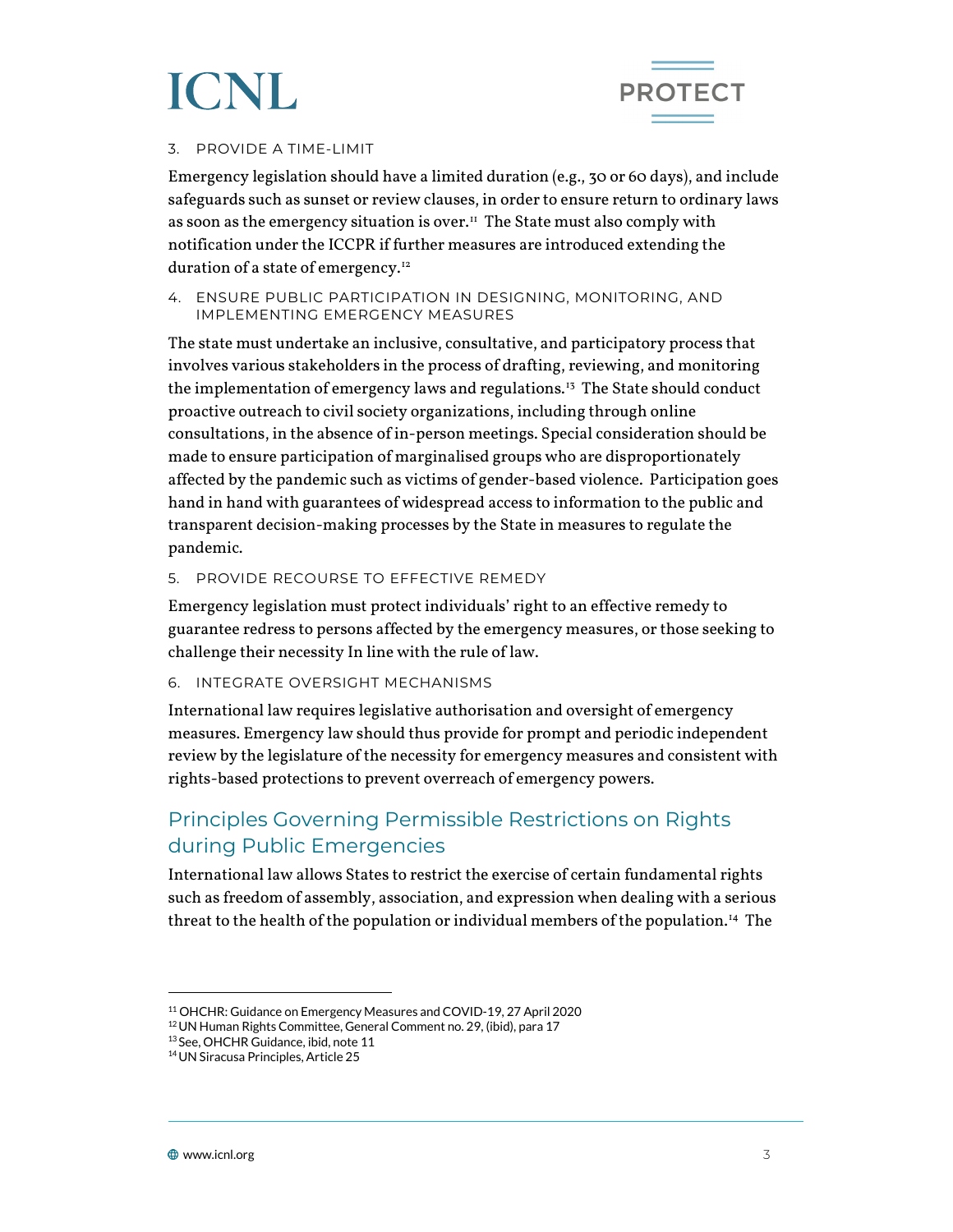

#### 3. PROVIDE A TIME-LIMIT

Emergency legislation should have a limited duration (e.g., 30 or 60 days), and include safeguards such as sunset or review clauses, in order to ensure return to ordinary laws as soon as the emergency situation is over.<sup>11</sup> The State must also comply with notification under the ICCPR if further measures are introduced extending the duration of a state of emergency.<sup>[12](#page-2-1)</sup>

#### 4. ENSURE PUBLIC PARTICIPATION IN DESIGNING, MONITORING, AND IMPLEMENTING EMERGENCY MEASURES

The state must undertake an inclusive, consultative, and participatory process that involves various stakeholders in the process of drafting, reviewing, and monitoring the implementation of emergency laws and regulations.<sup>13</sup> The State should conduct proactive outreach to civil society organizations, including through online consultations, in the absence of in-person meetings. Special consideration should be made to ensure participation of marginalised groups who are disproportionately affected by the pandemic such as victims of gender-based violence. Participation goes hand in hand with guarantees of widespread access to information to the public and transparent decision-making processes by the State in measures to regulate the pandemic.

#### 5. PROVIDE RECOURSE TO EFFECTIVE REMEDY

Emergency legislation must protect individuals' right to an effective remedy to guarantee redress to persons affected by the emergency measures, or those seeking to challenge their necessity In line with the rule of law.

#### 6. INTEGRATE OVERSIGHT MECHANISMS

International law requires legislative authorisation and oversight of emergency measures. Emergency law should thus provide for prompt and periodic independent review by the legislature of the necessity for emergency measures and consistent with rights-based protections to prevent overreach of emergency powers.

### Principles Governing Permissible Restrictions on Rights during Public Emergencies

International law allows States to restrict the exercise of certain fundamental rights such as freedom of assembly, association, and expression when dealing with a serious threat to the health of the population or individual members of the population.[14](#page-2-3) The

<span id="page-2-1"></span><span id="page-2-0"></span><sup>11</sup> OHCHR: Guidance on Emergency Measures and COVID-19, 27 April 2020

<sup>12</sup>UN Human Rights Committee, General Comment no. 29, (ibid), para 17

<span id="page-2-2"></span><sup>13</sup> See, OHCHR Guidance, ibid, note 11

<span id="page-2-3"></span><sup>14</sup>UN Siracusa Principles, Article 25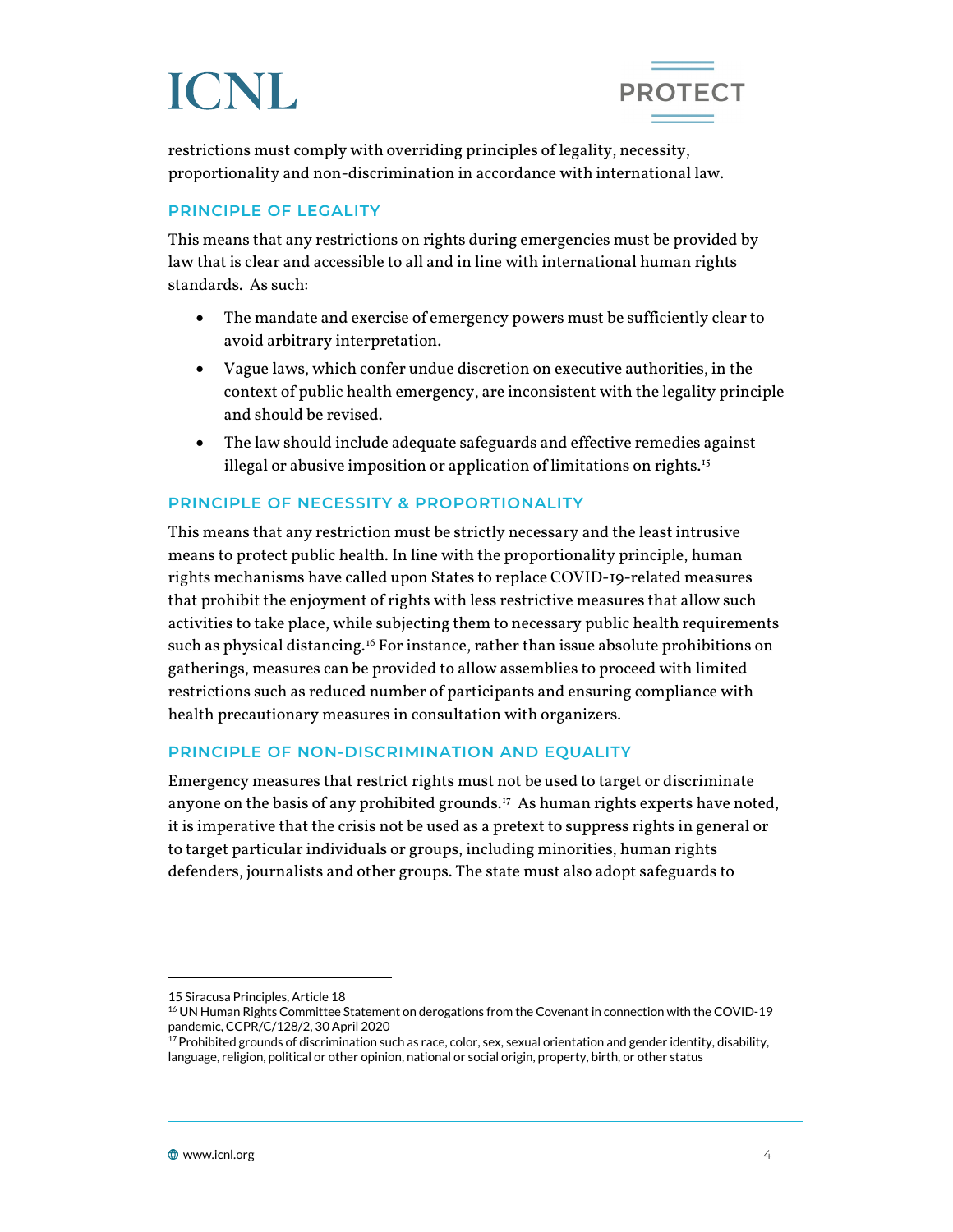

restrictions must comply with overriding principles of legality, necessity, proportionality and non-discrimination in accordance with international law.

#### **PRINCIPLE OF LEGALITY**

This means that any restrictions on rights during emergencies must be provided by law that is clear and accessible to all and in line with international human rights standards. As such:

- The mandate and exercise of emergency powers must be sufficiently clear to avoid arbitrary interpretation.
- Vague laws, which confer undue discretion on executive authorities, in the context of public health emergency, are inconsistent with the legality principle and should be revised.
- The law should include adequate safeguards and effective remedies against illegal or abusive imposition or application of limitations on rights.<sup>[15](#page-3-0)</sup>

#### **PRINCIPLE OF NECESSITY & PROPORTIONALITY**

This means that any restriction must be strictly necessary and the least intrusive means to protect public health. In line with the proportionality principle, human rights mechanisms have called upon States to replace COVID-19-related measures that prohibit the enjoyment of rights with less restrictive measures that allow such activities to take place, while subjecting them to necessary public health requirements such as physical distancing.<sup>[16](#page-3-1)</sup> For instance, rather than issue absolute prohibitions on gatherings, measures can be provided to allow assemblies to proceed with limited restrictions such as reduced number of participants and ensuring compliance with health precautionary measures in consultation with organizers.

#### **PRINCIPLE OF NON-DISCRIMINATION AND EQUALITY**

Emergency measures that restrict rights must not be used to target or discriminate anyone on the basis of any prohibited grounds.<sup>[17](#page-3-2)</sup> As human rights experts have noted, it is imperative that the crisis not be used as a pretext to suppress rights in general or to target particular individuals or groups, including minorities, human rights defenders, journalists and other groups. The state must also adopt safeguards to

<sup>15</sup> Siracusa Principles, Article 18

<span id="page-3-1"></span><span id="page-3-0"></span><sup>&</sup>lt;sup>16</sup> UN Human Rights Committee Statement on derogations from the Covenant in connection with the COVID-19 pandemic, CCPR/C/128/2, 30 April 2020

<span id="page-3-2"></span> $^{17}$ Prohibited grounds of discrimination such as race, color, sex, sexual orientation and gender identity, disability, language, religion, political or other opinion, national or social origin, property, birth, or other status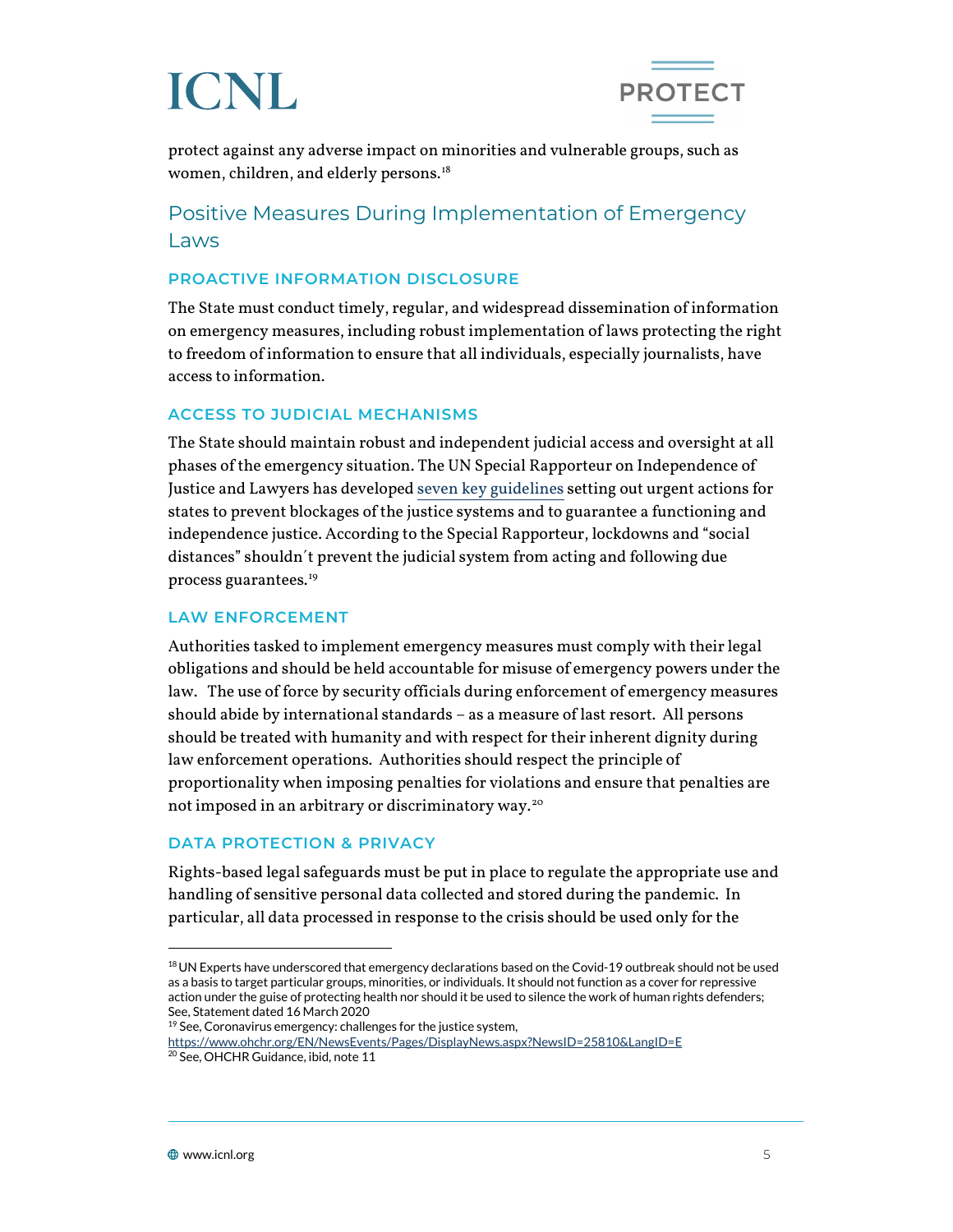



protect against any adverse impact on minorities and vulnerable groups, such as women, children, and elderly persons.<sup>18</sup>

### Positive Measures During Implementation of Emergency Laws

#### **PROACTIVE INFORMATION DISCLOSURE**

The State must conduct timely, regular, and widespread dissemination of information on emergency measures, including robust implementation of laws protecting the right to freedom of information to ensure that all individuals, especially journalists, have access to information.

#### **ACCESS TO JUDICIAL MECHANISMS**

The State should maintain robust and independent judicial access and oversight at all phases of the emergency situation. The UN Special Rapporteur on Independence of Justice and Lawyers has develope[d seven key guidelines](https://www.ohchr.org/EN/NewsEvents/Pages/DisplayNews.aspx?NewsID=25810&LangID=E) setting out urgent actions for states to prevent blockages of the justice systems and to guarantee a functioning and independence justice. According to the Special Rapporteur, lockdowns and "social distances" shouldn´t prevent the judicial system from acting and following due process guarantees.[19](#page-4-1)

#### **LAW ENFORCEMENT**

Authorities tasked to implement emergency measures must comply with their legal obligations and should be held accountable for misuse of emergency powers under the law. The use of force by security officials during enforcement of emergency measures should abide by international standards – as a measure of last resort. All persons should be treated with humanity and with respect for their inherent dignity during law enforcement operations. Authorities should respect the principle of proportionality when imposing penalties for violations and ensure that penalties are not imposed in an arbitrary or discriminatory way.[20](#page-4-2)

#### **DATA PROTECTION & PRIVACY**

Rights-based legal safeguards must be put in place to regulate the appropriate use and handling of sensitive personal data collected and stored during the pandemic. In particular, all data processed in response to the crisis should be used only for the

<span id="page-4-0"></span><sup>18</sup> UN Experts have underscored that emergency declarations based on the Covid-19 outbreak should not be used as a basis to target particular groups, minorities, or individuals. It should not function as a cover for repressive action under the guise of protecting health nor should it be used to silence the work of human rights defenders; See, Statement dated 16 March 2020

<sup>&</sup>lt;sup>19</sup> See, Coronavirus emergency: challenges for the justice system,

<span id="page-4-2"></span><span id="page-4-1"></span><https://www.ohchr.org/EN/NewsEvents/Pages/DisplayNews.aspx?NewsID=25810&LangID=E> 20 See, OHCHR Guidance, ibid, note 11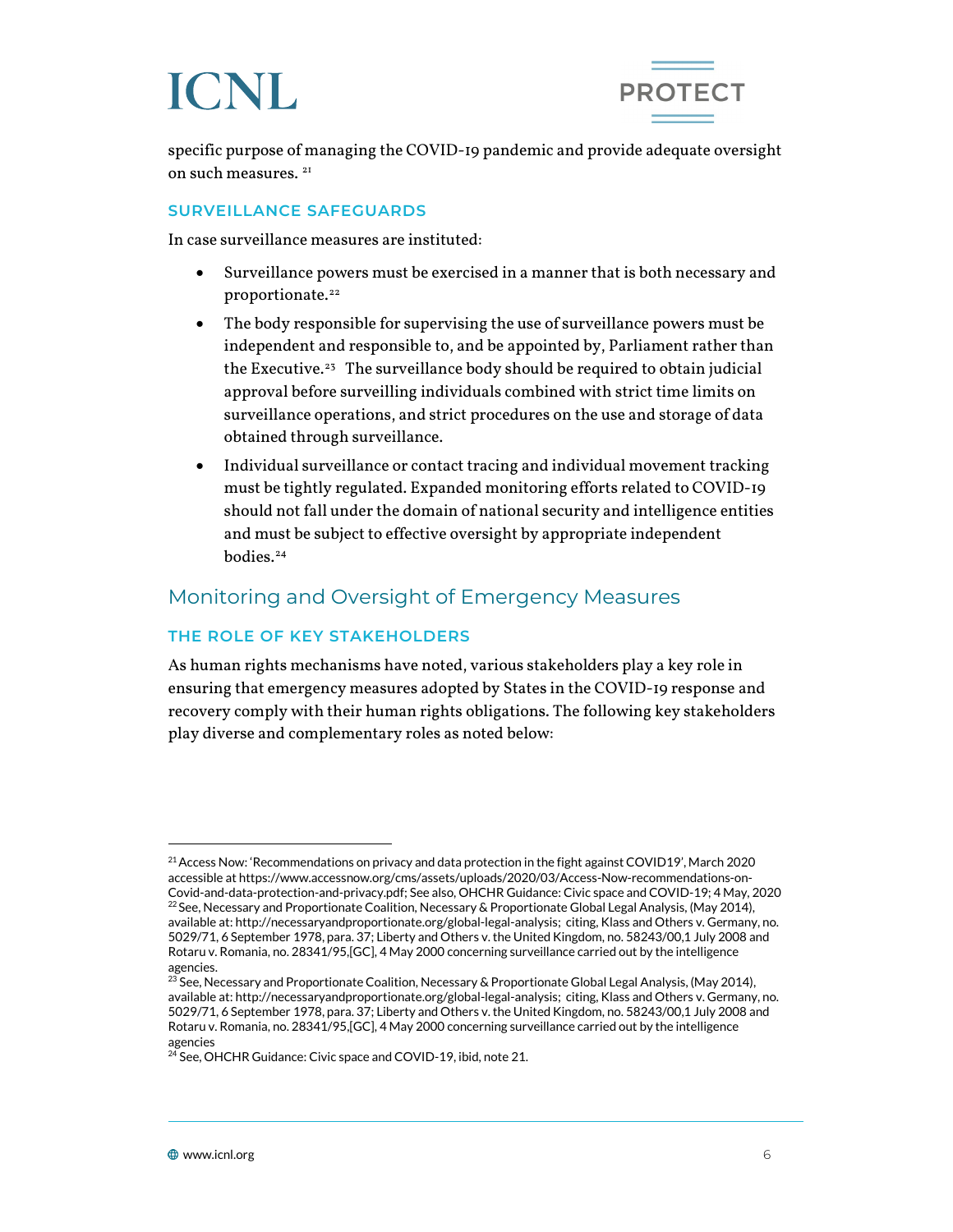



specific purpose of managing the COVID-19 pandemic and provide adequate oversight on such measures.<sup>[21](#page-5-0)</sup>

#### **SURVEILLANCE SAFEGUARDS**

In case surveillance measures are instituted:

- Surveillance powers must be exercised in a manner that is both necessary and proportionate.<sup>22</sup>
- The body responsible for supervising the use of surveillance powers must be independent and responsible to, and be appointed by, Parliament rather than the Executive.<sup>23</sup> The surveillance body should be required to obtain judicial approval before surveilling individuals combined with strict time limits on surveillance operations, and strict procedures on the use and storage of data obtained through surveillance.
- Individual surveillance or contact tracing and individual movement tracking must be tightly regulated. Expanded monitoring efforts related to COVID-19 should not fall under the domain of national security and intelligence entities and must be subject to effective oversight by appropriate independent bodies.<sup>[24](#page-5-3)</sup>

### Monitoring and Oversight of Emergency Measures

#### **THE ROLE OF KEY STAKEHOLDERS**

As human rights mechanisms have noted, various stakeholders play a key role in ensuring that emergency measures adopted by States in the COVID-19 response and recovery comply with their human rights obligations. The following key stakeholders play diverse and complementary roles as noted below:

<span id="page-5-1"></span><span id="page-5-0"></span><sup>&</sup>lt;sup>21</sup> Access Now: 'Recommendations on privacy and data protection in the fight against COVID19', March 2020 accessible a[t https://www.accessnow.org/cms/assets/uploads/2020/03/Access-Now-recommendations-on-](https://www.accessnow.org/cms/assets/uploads/2020/03/Access-Now-recommendations-on-Covid-and-data-protection-and-privacy.pdf)[Covid-and-data-protection-and-privacy.pdf;](https://www.accessnow.org/cms/assets/uploads/2020/03/Access-Now-recommendations-on-Covid-and-data-protection-and-privacy.pdf) See also, OHCHR Guidance: Civic space and COVID-19; 4 May, 2020<br><sup>22</sup> See, Necessary and Proportionate Coalition, Necessary & Proportionate Global Legal Analysis, (May 2014), available at[: http://necessaryandproportionate.org/global-legal-analysis;](http://necessaryandproportionate.org/global-legal-analysis) citing, Klass and Others v. Germany, no. 5029/71, 6 September 1978, para. 37; Liberty and Others v. the United Kingdom, no. 58243/00,1 July 2008 and Rotaru v. Romania, no. 28341/95,[GC], 4 May 2000 concerning surveillance carried out by the intelligence agencies.

<span id="page-5-2"></span><sup>&</sup>lt;sup>23</sup> See, Necessary and Proportionate Coalition, Necessary & Proportionate Global Legal Analysis, (May 2014), available at[: http://necessaryandproportionate.org/global-legal-analysis;](http://necessaryandproportionate.org/global-legal-analysis) citing, Klass and Others v. Germany, no. 5029/71, 6 September 1978, para. 37; Liberty and Others v. the United Kingdom, no. 58243/00,1 July 2008 and Rotaru v. Romania, no. 28341/95,[GC], 4 May 2000 concerning surveillance carried out by the intelligence agencies

<span id="page-5-3"></span><sup>&</sup>lt;sup>24</sup> See, OHCHR Guidance: Civic space and COVID-19, ibid, note 21.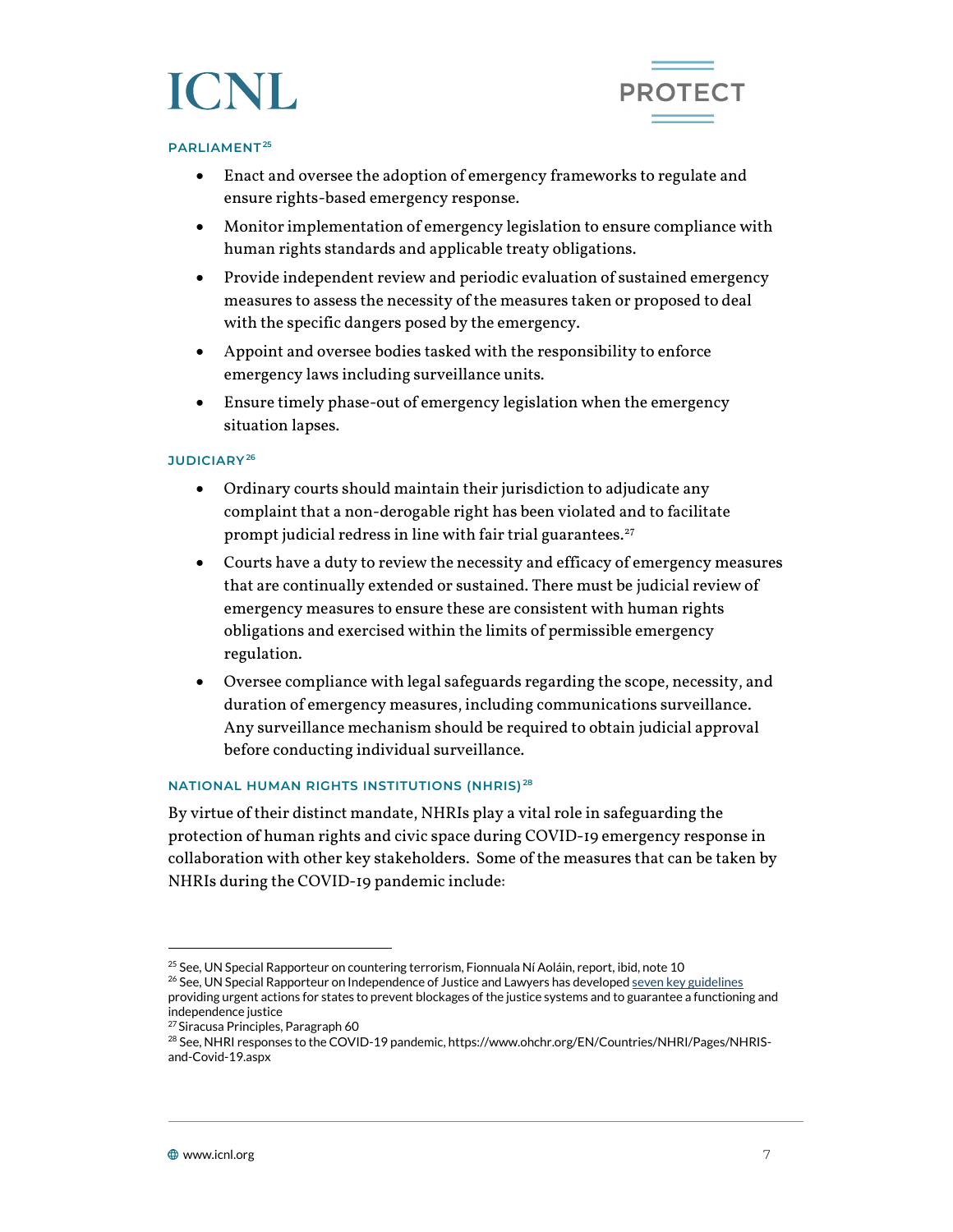



#### **PARLIAMENT[25](#page-6-0)**

- Enact and oversee the adoption of emergency frameworks to regulate and ensure rights-based emergency response.
- Monitor implementation of emergency legislation to ensure compliance with human rights standards and applicable treaty obligations.
- Provide independent review and periodic evaluation of sustained emergency measures to assess the necessity of the measures taken or proposed to deal with the specific dangers posed by the emergency.
- Appoint and oversee bodies tasked with the responsibility to enforce emergency laws including surveillance units.
- Ensure timely phase-out of emergency legislation when the emergency situation lapses.

#### **JUDICIARY[26](#page-6-1)**

- Ordinary courts should maintain their jurisdiction to adjudicate any complaint that a non-derogable right has been violated and to facilitate prompt judicial redress in line with fair trial guarantees. $27$
- Courts have a duty to review the necessity and efficacy of emergency measures that are continually extended or sustained. There must be judicial review of emergency measures to ensure these are consistent with human rights obligations and exercised within the limits of permissible emergency regulation.
- Oversee compliance with legal safeguards regarding the scope, necessity, and duration of emergency measures, including communications surveillance. Any surveillance mechanism should be required to obtain judicial approval before conducting individual surveillance.

#### **NATIONAL HUMAN RIGHTS INSTITUTIONS (NHRIS) [28](#page-6-3)**

By virtue of their distinct mandate, NHRIs play a vital role in safeguarding the protection of human rights and civic space during COVID-19 emergency response in collaboration with other key stakeholders. Some of the measures that can be taken by NHRIs during the COVID-19 pandemic include:

<sup>&</sup>lt;sup>25</sup> See, UN Special Rapporteur on countering terrorism, Fionnuala Ní Aoláin, report, ibid, note 10

<span id="page-6-1"></span><span id="page-6-0"></span><sup>&</sup>lt;sup>26</sup> See, UN Special Rapporteur on Independence of Justice and Lawyers has develope[d seven key guidelines](https://www.ohchr.org/EN/NewsEvents/Pages/DisplayNews.aspx?NewsID=25810&LangID=E) providing urgent actions for states to prevent blockages of the justice systems and to guarantee a functioning and independence justice

<sup>27</sup> Siracusa Principles, Paragraph 60

<span id="page-6-3"></span><span id="page-6-2"></span><sup>&</sup>lt;sup>28</sup> See, NHRI responses to the COVID-19 pandemic, https://www.ohchr.org/EN/Countries/NHRI/Pages/NHRISand-Covid-19.aspx